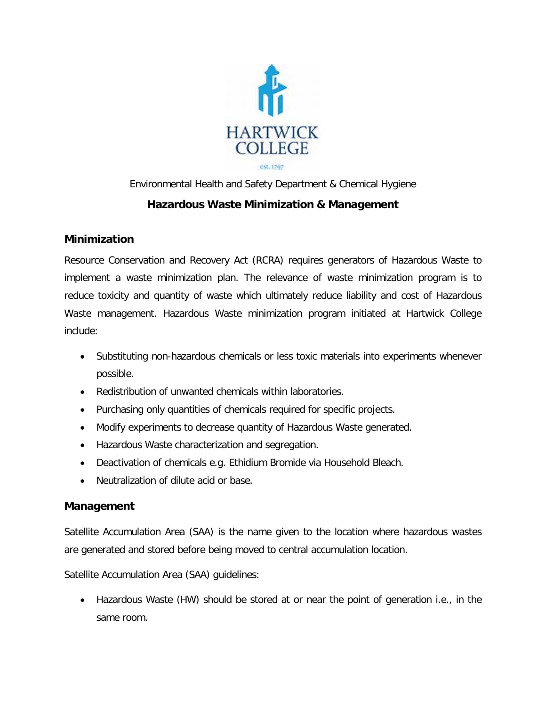

## Environmental Health and Safety Department & Chemical Hygiene **Hazardous Waste Minimization & Management**

## **Minimization**

Resource Conservation and Recovery Act (RCRA) requires generators of Hazardous Waste to implement a waste minimization plan. The relevance of waste minimization program is to reduce toxicity and quantity of waste which ultimately reduce liability and cost of Hazardous Waste management. Hazardous Waste minimization program initiated at Hartwick College include:

- Substituting non-hazardous chemicals or less toxic materials into experiments whenever possible.
- Redistribution of unwanted chemicals within laboratories.
- Purchasing only quantities of chemicals required for specific projects.
- Modify experiments to decrease quantity of Hazardous Waste generated.
- Hazardous Waste characterization and segregation.
- Deactivation of chemicals e.g. Ethidium Bromide via Household Bleach.
- Neutralization of dilute acid or base.

## **Management**

Satellite Accumulation Area (SAA) is the name given to the location where hazardous wastes are generated and stored before being moved to central accumulation location.

Satellite Accumulation Area (SAA) guidelines:

• Hazardous Waste (HW) should be stored at or near the point of generation i.e., in the same room.